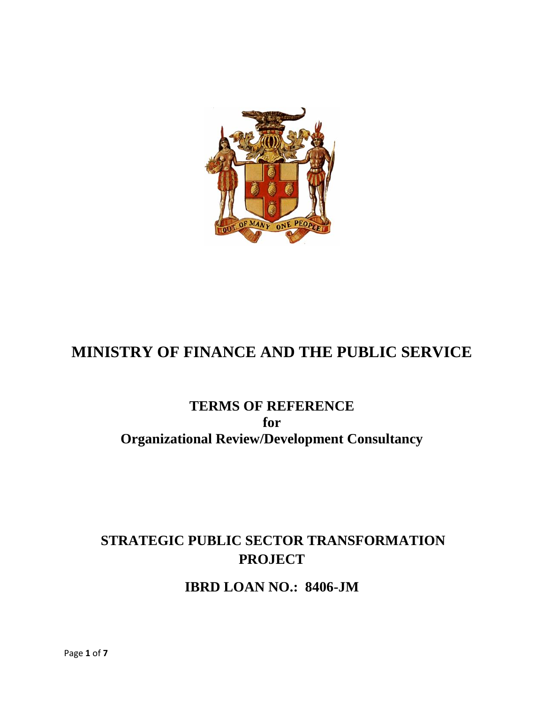

# **MINISTRY OF FINANCE AND THE PUBLIC SERVICE**

## **TERMS OF REFERENCE for Organizational Review/Development Consultancy**

## **STRATEGIC PUBLIC SECTOR TRANSFORMATION PROJECT**

**IBRD LOAN NO.: 8406-JM**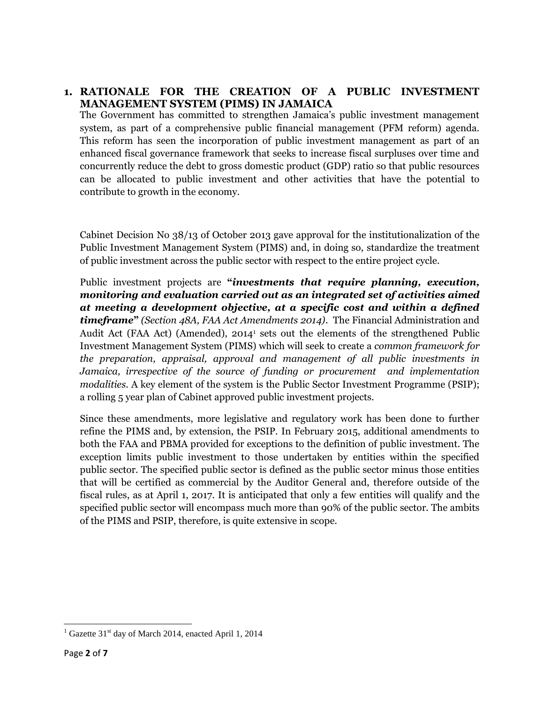## **1. RATIONALE FOR THE CREATION OF A PUBLIC INVESTMENT MANAGEMENT SYSTEM (PIMS) IN JAMAICA**

The Government has committed to strengthen Jamaica's public investment management system, as part of a comprehensive public financial management (PFM reform) agenda. This reform has seen the incorporation of public investment management as part of an enhanced fiscal governance framework that seeks to increase fiscal surpluses over time and concurrently reduce the debt to gross domestic product (GDP) ratio so that public resources can be allocated to public investment and other activities that have the potential to contribute to growth in the economy.

Cabinet Decision No 38/13 of October 2013 gave approval for the institutionalization of the Public Investment Management System (PIMS) and, in doing so, standardize the treatment of public investment across the public sector with respect to the entire project cycle.

Public investment projects are **"***investments that require planning, execution, monitoring and evaluation carried out as an integrated set of activities aimed at meeting a development objective, at a specific cost and within a defined timeframe***"** *(Section 48A, FAA Act Amendments 2014)*. The Financial Administration and Audit Act (FAA Act) (Amended), 2014<sup>1</sup> sets out the elements of the strengthened Public Investment Management System (PIMS) which will seek to create a *common framework for the preparation, appraisal, approval and management of all public investments in Jamaica, irrespective of the source of funding or procurement and implementation modalities.* A key element of the system is the Public Sector Investment Programme (PSIP); a rolling 5 year plan of Cabinet approved public investment projects.

Since these amendments, more legislative and regulatory work has been done to further refine the PIMS and, by extension, the PSIP. In February 2015, additional amendments to both the FAA and PBMA provided for exceptions to the definition of public investment. The exception limits public investment to those undertaken by entities within the specified public sector. The specified public sector is defined as the public sector minus those entities that will be certified as commercial by the Auditor General and, therefore outside of the fiscal rules, as at April 1, 2017. It is anticipated that only a few entities will qualify and the specified public sector will encompass much more than 90% of the public sector. The ambits of the PIMS and PSIP, therefore, is quite extensive in scope.

 $1$  Gazette 31<sup>st</sup> day of March 2014, enacted April 1, 2014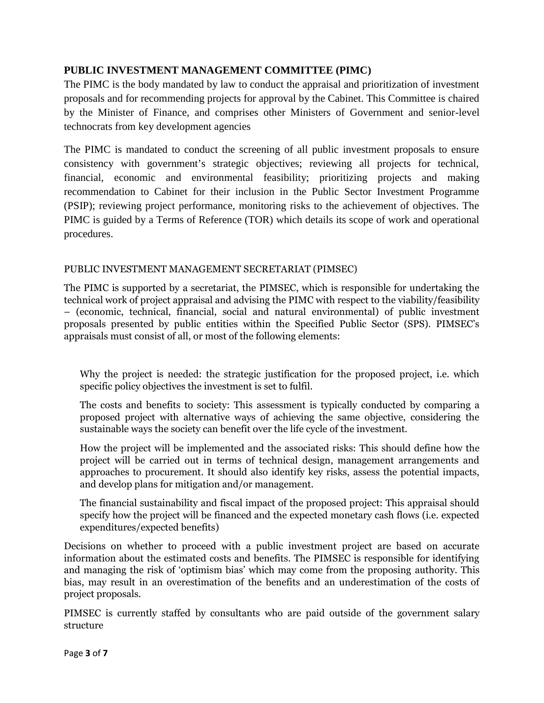## **PUBLIC INVESTMENT MANAGEMENT COMMITTEE (PIMC)**

The PIMC is the body mandated by law to conduct the appraisal and prioritization of investment proposals and for recommending projects for approval by the Cabinet. This Committee is chaired by the Minister of Finance, and comprises other Ministers of Government and senior-level technocrats from key development agencies

The PIMC is mandated to conduct the screening of all public investment proposals to ensure consistency with government's strategic objectives; reviewing all projects for technical, financial, economic and environmental feasibility; prioritizing projects and making recommendation to Cabinet for their inclusion in the Public Sector Investment Programme (PSIP); reviewing project performance, monitoring risks to the achievement of objectives. The PIMC is guided by a Terms of Reference (TOR) which details its scope of work and operational procedures.

## PUBLIC INVESTMENT MANAGEMENT SECRETARIAT (PIMSEC)

The PIMC is supported by a secretariat, the PIMSEC, which is responsible for undertaking the technical work of project appraisal and advising the PIMC with respect to the viability/feasibility – (economic, technical, financial, social and natural environmental) of public investment proposals presented by public entities within the Specified Public Sector (SPS). PIMSEC's appraisals must consist of all, or most of the following elements:

Why the project is needed: the strategic justification for the proposed project, i.e. which specific policy objectives the investment is set to fulfil.

The costs and benefits to society: This assessment is typically conducted by comparing a proposed project with alternative ways of achieving the same objective, considering the sustainable ways the society can benefit over the life cycle of the investment.

How the project will be implemented and the associated risks: This should define how the project will be carried out in terms of technical design, management arrangements and approaches to procurement. It should also identify key risks, assess the potential impacts, and develop plans for mitigation and/or management.

The financial sustainability and fiscal impact of the proposed project: This appraisal should specify how the project will be financed and the expected monetary cash flows (i.e. expected expenditures/expected benefits)

Decisions on whether to proceed with a public investment project are based on accurate information about the estimated costs and benefits. The PIMSEC is responsible for identifying and managing the risk of 'optimism bias' which may come from the proposing authority. This bias, may result in an overestimation of the benefits and an underestimation of the costs of project proposals.

PIMSEC is currently staffed by consultants who are paid outside of the government salary structure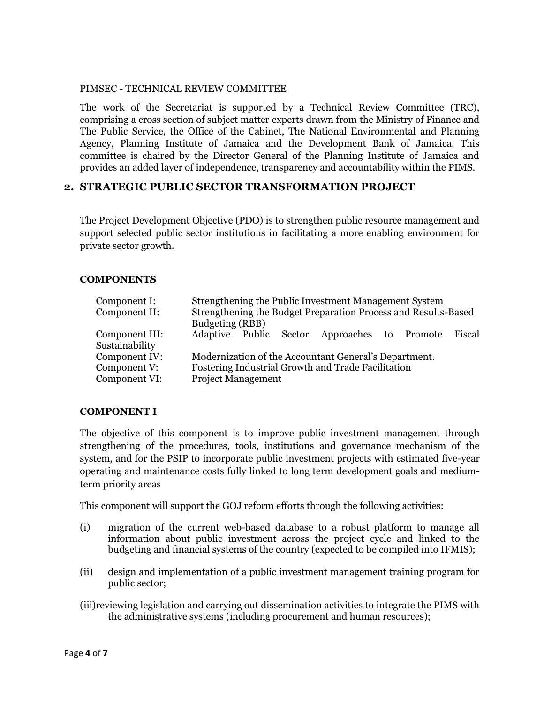#### PIMSEC - TECHNICAL REVIEW COMMITTEE

The work of the Secretariat is supported by a Technical Review Committee (TRC), comprising a cross section of subject matter experts drawn from the Ministry of Finance and The Public Service, the Office of the Cabinet, The National Environmental and Planning Agency, Planning Institute of Jamaica and the Development Bank of Jamaica. This committee is chaired by the Director General of the Planning Institute of Jamaica and provides an added layer of independence, transparency and accountability within the PIMS.

#### **2. STRATEGIC PUBLIC SECTOR TRANSFORMATION PROJECT**

The Project Development Objective (PDO) is to strengthen public resource management and support selected public sector institutions in facilitating a more enabling environment for private sector growth.

#### **COMPONENTS**

| Component I:<br>Component II:                  | Strengthening the Public Investment Management System<br>Strengthening the Budget Preparation Process and Results-Based<br>Budgeting (RBB) |  |  |                                                     |  |  |  |
|------------------------------------------------|--------------------------------------------------------------------------------------------------------------------------------------------|--|--|-----------------------------------------------------|--|--|--|
| Component III:<br>Sustainability               |                                                                                                                                            |  |  | Adaptive Public Sector Approaches to Promote Fiscal |  |  |  |
| Component IV:<br>Component V:<br>Component VI: | Modernization of the Accountant General's Department.<br>Fostering Industrial Growth and Trade Facilitation<br><b>Project Management</b>   |  |  |                                                     |  |  |  |

#### **COMPONENT I**

The objective of this component is to improve public investment management through strengthening of the procedures, tools, institutions and governance mechanism of the system, and for the PSIP to incorporate public investment projects with estimated five-year operating and maintenance costs fully linked to long term development goals and mediumterm priority areas

This component will support the GOJ reform efforts through the following activities:

- (i) migration of the current web-based database to a robust platform to manage all information about public investment across the project cycle and linked to the budgeting and financial systems of the country (expected to be compiled into IFMIS);
- (ii) design and implementation of a public investment management training program for public sector;
- (iii)reviewing legislation and carrying out dissemination activities to integrate the PIMS with the administrative systems (including procurement and human resources);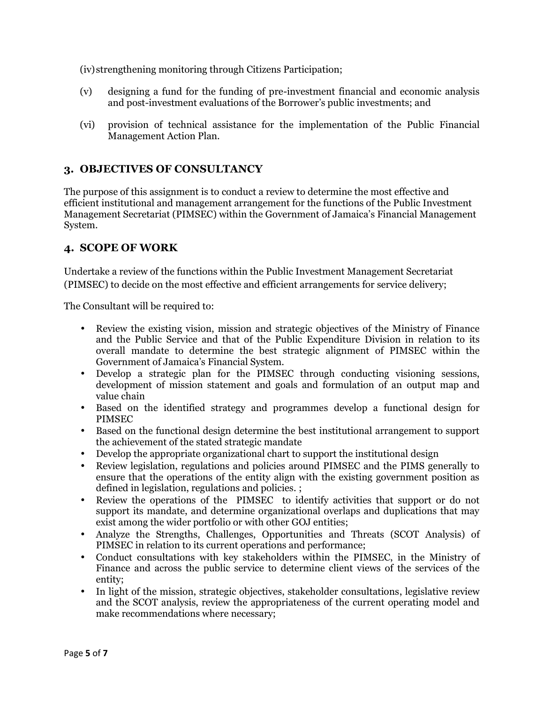(iv)strengthening monitoring through Citizens Participation;

- (v) designing a fund for the funding of pre-investment financial and economic analysis and post-investment evaluations of the Borrower's public investments; and
- (vi) provision of technical assistance for the implementation of the Public Financial Management Action Plan.

## **3. OBJECTIVES OF CONSULTANCY**

The purpose of this assignment is to conduct a review to determine the most effective and efficient institutional and management arrangement for the functions of the Public Investment Management Secretariat (PIMSEC) within the Government of Jamaica's Financial Management System.

## **4. SCOPE OF WORK**

Undertake a review of the functions within the Public Investment Management Secretariat (PIMSEC) to decide on the most effective and efficient arrangements for service delivery;

The Consultant will be required to:

- Review the existing vision, mission and strategic objectives of the Ministry of Finance and the Public Service and that of the Public Expenditure Division in relation to its overall mandate to determine the best strategic alignment of PIMSEC within the Government of Jamaica's Financial System.
- Develop a strategic plan for the PIMSEC through conducting visioning sessions, development of mission statement and goals and formulation of an output map and value chain
- Based on the identified strategy and programmes develop a functional design for PIMSEC
- Based on the functional design determine the best institutional arrangement to support the achievement of the stated strategic mandate
- Develop the appropriate organizational chart to support the institutional design
- Review legislation, regulations and policies around PIMSEC and the PIMS generally to ensure that the operations of the entity align with the existing government position as defined in legislation, regulations and policies. ;
- Review the operations of the PIMSEC to identify activities that support or do not support its mandate, and determine organizational overlaps and duplications that may exist among the wider portfolio or with other GOJ entities;
- Analyze the Strengths, Challenges, Opportunities and Threats (SCOT Analysis) of PIMSEC in relation to its current operations and performance;
- Conduct consultations with key stakeholders within the PIMSEC, in the Ministry of Finance and across the public service to determine client views of the services of the entity;
- In light of the mission, strategic objectives, stakeholder consultations, legislative review and the SCOT analysis, review the appropriateness of the current operating model and make recommendations where necessary;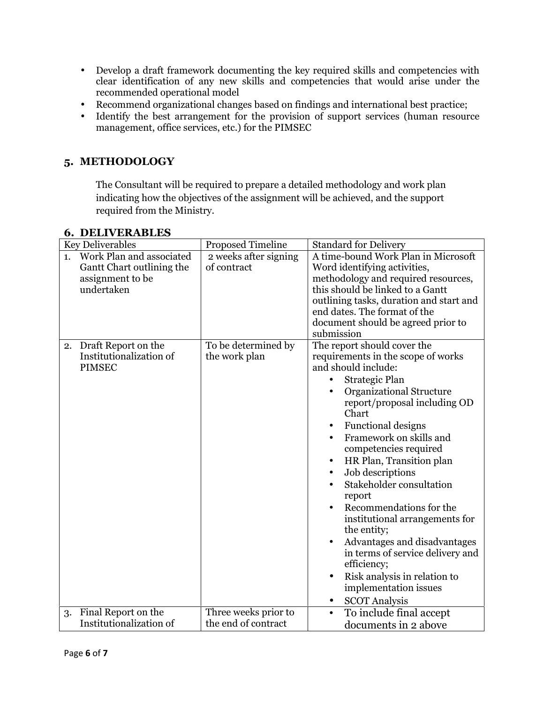- Develop a draft framework documenting the key required skills and competencies with clear identification of any new skills and competencies that would arise under the recommended operational model
- Recommend organizational changes based on findings and international best practice;
- Identify the best arrangement for the provision of support services (human resource management, office services, etc.) for the PIMSEC

## **5. METHODOLOGY**

The Consultant will be required to prepare a detailed methodology and work plan indicating how the objectives of the assignment will be achieved, and the support required from the Ministry.

| <b>Key Deliverables</b>                                                                       | <b>Proposed Timeline</b>                    | <b>Standard for Delivery</b>                                                                                                                                                                                                                                                                                                                                                                                                                                                                                                                                                                                                                                                 |
|-----------------------------------------------------------------------------------------------|---------------------------------------------|------------------------------------------------------------------------------------------------------------------------------------------------------------------------------------------------------------------------------------------------------------------------------------------------------------------------------------------------------------------------------------------------------------------------------------------------------------------------------------------------------------------------------------------------------------------------------------------------------------------------------------------------------------------------------|
| Work Plan and associated<br>1.<br>Gantt Chart outlining the<br>assignment to be<br>undertaken | 2 weeks after signing<br>of contract        | A time-bound Work Plan in Microsoft<br>Word identifying activities,<br>methodology and required resources,<br>this should be linked to a Gantt<br>outlining tasks, duration and start and<br>end dates. The format of the<br>document should be agreed prior to<br>submission                                                                                                                                                                                                                                                                                                                                                                                                |
| Draft Report on the<br>2.<br>Institutionalization of<br><b>PIMSEC</b>                         | To be determined by<br>the work plan        | The report should cover the<br>requirements in the scope of works<br>and should include:<br>Strategic Plan<br>$\bullet$<br><b>Organizational Structure</b><br>report/proposal including OD<br>Chart<br>Functional designs<br>٠<br>Framework on skills and<br>competencies required<br>HR Plan, Transition plan<br>$\bullet$<br>Job descriptions<br>$\bullet$<br>Stakeholder consultation<br>report<br>Recommendations for the<br>institutional arrangements for<br>the entity;<br>Advantages and disadvantages<br>in terms of service delivery and<br>efficiency;<br>Risk analysis in relation to<br>$\bullet$<br>implementation issues<br><b>SCOT</b> Analysis<br>$\bullet$ |
| Final Report on the<br>3.<br>Institutionalization of                                          | Three weeks prior to<br>the end of contract | To include final accept<br>$\bullet$<br>documents in 2 above                                                                                                                                                                                                                                                                                                                                                                                                                                                                                                                                                                                                                 |

## **6. DELIVERABLES**